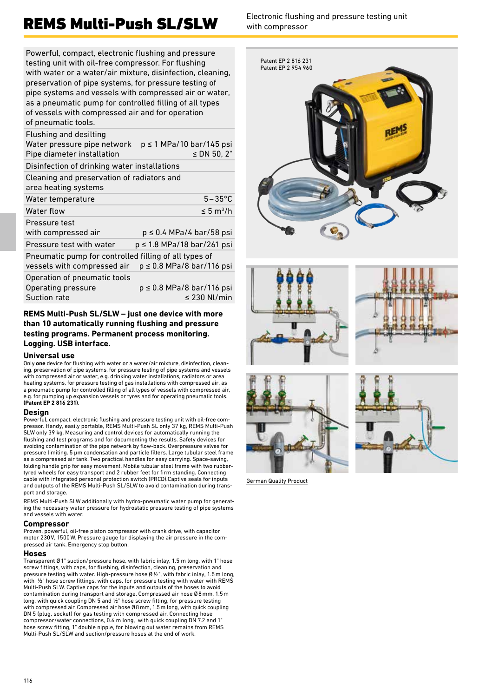Powerful, compact, electronic flushing and pressure testing unit with oil-free compressor. For flushing with water or a water/air mixture, disinfection, cleaning, preservation of pipe systems, for pressure testing of pipe systems and vessels with compressed air or water, as a pneumatic pump for controlled filling of all types of vessels with compressed air and for operation of pneumatic tools.

| $p \le 1$ MPa/10 bar/145 psi<br>Water pressure pipe network<br>≤ DN 50, 2"             |
|----------------------------------------------------------------------------------------|
| Disinfection of drinking water installations                                           |
| Cleaning and preservation of radiators and                                             |
| $5-35^{\circ}$ C                                                                       |
| $\leq 5 \text{ m}^3/\text{h}$                                                          |
| $p \le 0.4$ MPa/4 bar/58 psi                                                           |
| $p \le 1.8$ MPa/18 bar/261 psi                                                         |
| Pneumatic pump for controlled filling of all types of<br>$p \le 0.8$ MPa/8 bar/116 psi |
| $p \le 0.8$ MPa/8 bar/116 psi<br>$\leq$ 230 Nl/min                                     |
|                                                                                        |

#### **REMS Multi-Push SL/SLW – just one device with more than 10 automatically running flushing and pressure testing programs. Permanent process monitoring. Logging. USB interface.**

#### **Universal use**

Only **one** device for flushing with water or a water/air mixture, disinfection, cleaning, preservation of pipe systems, for pressure testing of pipe systems and vessels with compressed air or water, e.g. drinking water installations, radiators or area heating systems, for pressure testing of gas installations with compressed air, as a pneumatic pump for controlled filling of all types of vessels with compressed air, e.g. for pumping up expansion vessels or tyres and for operating pneumatic tools. **(Patent EP 2 816 231)**.

#### **Design**

Powerful, compact, electronic flushing and pressure testing unit with oil-free compressor. Handy, easily portable, REMS Multi-Push SL only 37 kg, REMS Multi-Push SLW only 39 kg. Measuring and control devices for automatically running the flushing and test programs and for documenting the results. Safety devices for avoiding contamination of the pipe network by flow-back. Overpressure valves for pressure limiting. 5 μm condensation and particle filters. Large tubular steel frame as a compressed air tank. Two practical handles for easy carrying. Space-saving, folding handle grip for easy movement. Mobile tubular steel frame with two rubber-tyred wheels for easy transport and 2 rubber feet for firm standing. Connecting cable with integrated personal protection switch (PRCD).Captive seals for inputs and outputs of the REMS Multi-Push SL/SLW to avoid contamination during transport and storage.

REMS Multi-Push SLW additionally with hydro-pneumatic water pump for generating the necessary water pressure for hydrostatic pressure testing of pipe systems and vessels with water.

#### **Compressor**

Proven, powerful, oil-free piston compressor with crank drive, with capacitor motor 230V, 1500W. Pressure gauge for displaying the air pressure in the compressed air tank. Emergency stop button.

#### **Hoses**

Transparent Ø 1" suction/pressure hose, with fabric inlay, 1.5 m long, with 1" hose screw fittings, with caps, for flushing, disinfection, cleaning, preservation and pressure testing with water. High-pressure hose Ø ½", with fabric inlay, 1.5 m long, with  $\frac{1}{2}$ " hose screw fittings, with caps, for pressure testing with water with REMS Multi-Push SLW. Captive caps for the inputs and outputs of the hoses to avoid contamination during transport and storage. Compressed air hose Ø8mm, 1.5m long, with quick coupling DN 5 and ½" hose screw fitting, for pressure testing with compressed air. Compressed air hose Ø8mm, 1.5m long, with quick coupling DN 5 (plug, socket) for gas testing with compressed air. Connecting hose compressor/water connections, 0.6 m long, with quick coupling DN 7.2 and 1" hose screw fitting, 1" double nipple, for blowing out water remains from REMS Multi-Push SL/SLW and suction/pressure hoses at the end of work.

with compressor











German Quality Product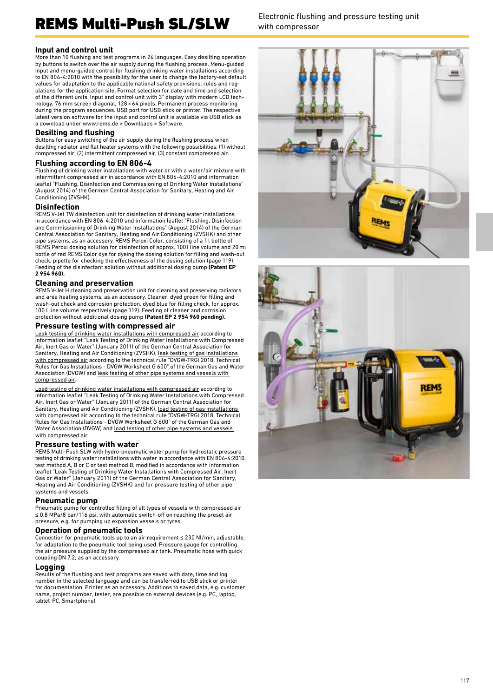#### **Input and control unit**

More than 10 flushing and test programs in 26 languages. Easy desilting operation by buttons to switch over the air supply during the flushing process. Menu-guided input and menu-guided control for flushing drinking water installations according to EN 806-4:2010 with the possibility for the user to change the factory-set default values for adaptation to the applicable national safety provisions, rules and regulations for the application site. Format selection for date and time and selection of the different units. Input and control unit with 3" display with modern LCD technology, 76 mm screen diagonal, 128×64 pixels. Permanent process monitoring during the program sequences. USB port for USB stick or printer. The respective latest version software for the input and control unit is available via USB stick as a download under www.rems.de > Downloads > Software.

#### **Desilting and flushing**

Buttons for easy switching of the air supply during the flushing process when desilting radiator and flat heater systems with the following possibilities: (1) without compressed air, (2) intermittent compressed air, (3) constant compressed air.

#### **Flushing according to EN 806-4**

Flushing of drinking water installations with water or with a water/air mixture with intermittent compressed air in accordance with EN 806-4:2010 and information leaflet "Flushing, Disinfection and Commissioning of Drinking Water Installations" (August 2014) of the German Central Association for Sanitary, Heating and Air Conditioning (ZVSHK).

#### **Disinfection**

REMS V-Jet TW disinfection unit for disinfection of drinking water installations in accordance with EN 806-4:2010 and information leaflet "Flushing, Disinfection and Commissioning of Drinking Water Installations" (August 2014) of the German Central Association for Sanitary, Heating and Air Conditioning (ZVSHK) and other pipe systems, as an accessory. REMS Peroxi Color, consisting of a 1l bottle of REMS Peroxi dosing solution for disinfection of approx. 100l line volume and 20ml bottle of red REMS Color dye for dyeing the dosing solution for filling and wash-out check, pipette for checking the effectiveness of the dosing solution (page 119). Feeding of the disinfectant solution without additional dosing pump **(Patent EP 2 954 960).**

#### **Cleaning and preservation**

REMS V-Jet H cleaning and preservation unit for cleaning and preserving radiators and area heating systems, as an accessory. Cleaner, dyed green for filling and wash-out check and corrosion protection, dyed blue for filling check, for approx. 100 l line volume respectively (page 119). Feeding of cleaner and corrosion protection without additional dosing pump **(Patent EP 2 954 960 pending).**

#### **Pressure testing with compressed air**

Leak testing of drinking water installations with compressed air according to information leaflet "Leak Testing of Drinking Water Installations with Compressed Air, Inert Gas or Water" (January 2011) of the German Central Association for Sanitary, Heating and Air Conditioning (ZVSHK), <u>leak testing of gas installations </u><br><u>with compressed air</u> according to the technical rule "DVGW-TRGI 2018, Technical Rules for Gas Installations - DVGW Worksheet G 600" of the German Gas and Water Association (DVGW) and leak testing of other pipe systems and vessels with compressed air.

Load testing of drinking water installations with compressed air according to information leaflet "Leak Testing of Drinking Water Installations with Compressed Air, Inert Gas or Water" (January 2011) of the German Central Association for Sanitary, Heating and Air Conditioning (ZVSHK), load testing of gas installations with compressed air according to the technical rule "DVGW-TRGI 2018, Technical Rules for Gas Installations - DVGW Worksheet G 600" of the German Gas and Water Association (DVGW) and load testing of other pipe systems and vessels with compressed air.

#### **Pressure testing with water**

REMS Multi-Push SLW with hydro-pneumatic water pump for hydrostatic pressure testing of drinking water installations with water in accordance with EN 806-4:2010, test method A, B or C or test method B, modified in accordance with information leaflet "Leak Testing of Drinking Water Installations with Compressed Air, Inert Gas or Water" (January 2011) of the German Central Association for Sanitary, Heating and Air Conditioning (ZVSHK) and for pressure testing of other pipe systems and vessels.

#### **Pneumatic pump**

Pneumatic pump for controlled filling of all types of vessels with compressed air ≤ 0.8 MPa/8 bar/116 psi, with automatic switch-off on reaching the preset air pressure, e.g. for pumping up expansion vessels or tyres.

#### **Operation of pneumatic tools**

Connection for pneumatic tools up to an air requirement ≤ 230 Nl/min, adjustable, for adaptation to the pneumatic tool being used. Pressure gauge for controlling the air pressure supplied by the compressed air tank. Pneumatic hose with quick coupling DN 7.2, as an accessory.

#### **Logging**

Results of the flushing and test programs are saved with date, time and log number in the selected language and can be transferred to USB stick or printer for documentation. Printer as an accessory. Additions to saved data, e.g. customer name, project number, tester, are possible on external devices (e.g. PC, laptop, tablet-PC, Smartphone).

with compressor



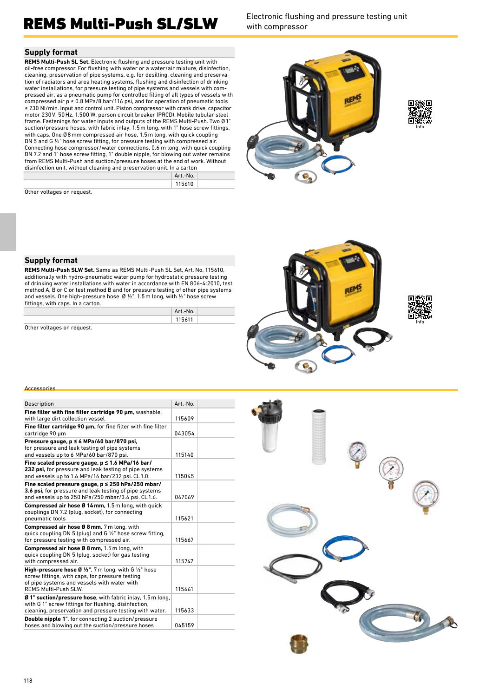with compressor

#### **Supply format**

**REMS Multi-Push SL Set.** Electronic flushing and pressure testing unit with oil-free compressor. For flushing with water or a water/air mixture, disinfection, cleaning, preservation of pipe systems, e.g. for desilting, cleaning and preservation of radiators and area heating systems, flushing and disinfection of drinking water installations, for pressure testing of pipe systems and vessels with compressed air, as a pneumatic pump for controlled filling of all types of vessels with compressed air  $p \le 0.8$  MPa/8 bar/116 psi, and for operation of pneumatic tools ≤ 230 Nl/min. Input and control unit. Piston compressor with crank drive, capacitor motor 230V, 50Hz, 1,500 W, person circuit breaker (PRCD). Mobile tubular steel frame. Fastenings for water inputs and outputs of the REMS Multi-Push. Two Ø 1" suction/pressure hoses, with fabric inlay, 1.5 m long, with 1" hose screw fittings, with caps. One Ø8 mm compressed air hose, 1.5 m long, with quick coupling DN 5 and G ½" hose screw fitting, for pressure testing with compressed air. Connecting hose compressor/water connections, 0.6 m long, with quick coupling DN 7.2 and 1" hose screw fitting, 1" double nipple, for blowing out water remains from REMS Multi-Push and suction/pressure hoses at the end of work. Without disinfection unit, without cleaning and preservation unit. In a carton

| Art.-No. |
|----------|
| 115610   |
|          |





### Other voltages on request.

#### **Supply format**

**REMS Multi-Push SLW Set.** Same as REMS Multi-Push SL Set, Art. No. 115610, additionally with hydro-pneumatic water pump for hydrostatic pressure testing of drinking water installations with water in accordance with EN 806-4:2010, test method A, B or C or test method B and for pressure testing of other pipe systems and vessels. One high-pressure hose Ø ½", 1.5 m long, with ½" hose screw fittings, with caps. In a carton.

| Art.-No. |  |
|----------|--|
| 115611   |  |
|          |  |

Other voltages on request.



#### **Accessories**

| Description                                                                                                                                                                                   | Art.-No. |  |
|-----------------------------------------------------------------------------------------------------------------------------------------------------------------------------------------------|----------|--|
| Fine filter with fine filter cartridge 90 um, washable,<br>with large dirt collection vessel                                                                                                  | 115609   |  |
| Fine filter cartridge 90 um, for fine filter with fine filter<br>cartridge 90 µm                                                                                                              | 043054   |  |
| Pressure gauge, $p \le 6$ MPa/60 bar/870 psi,<br>for pressure and leak testing of pipe systems<br>and vessels up to 6 MPa/60 bar/870 psi.                                                     | 115140   |  |
| Fine scaled pressure gauge, $p \le 1.6$ MPa/16 bar/<br>232 psi, for pressure and leak testing of pipe systems<br>and vessels up to 1.6 MPa/16 bar/232 psi. CL1.0.                             | 115045   |  |
| Fine scaled pressure gauge, $p \le 250$ hPa/250 mbar/<br>3.6 psi, for pressure and leak testing of pipe systems<br>and vessels up to 250 hPa/250 mbar/3.6 psi. CL1.6.                         | 047069   |  |
| <b>Compressed air hose Ø 14 mm, 1.5 m long, with quick</b><br>couplings DN 7.2 (plug, socket), for connecting<br>pneumatic tools                                                              | 115621   |  |
| <b>Compressed air hose Ø 8 mm, 7 m long, with</b><br>quick coupling DN 5 (plug) and G $\frac{1}{2}$ " hose screw fitting,<br>for pressure testing with compressed air.                        | 115667   |  |
| Compressed air hose Ø 8 mm, 1.5 m long, with<br>quick coupling DN 5 (plug, socket) for gas testing<br>with compressed air.                                                                    | 115747   |  |
| <b>High-pressure hose Ø 1/2", 7 m long, with G 1/2" hose</b><br>screw fittings, with caps, for pressure testing<br>of pipe systems and vessels with water with<br><b>REMS Multi-Push SLW.</b> | 115661   |  |
| Ø 1" suction/pressure hose, with fabric inlay, 1.5 m long,<br>with G 1" screw fittings for flushing, disinfection,<br>cleaning, preservation and pressure testing with water.                 | 115633   |  |
| Double nipple 1", for connecting 2 suction/pressure<br>hoses and blowing out the suction/pressure hoses                                                                                       | 045159   |  |